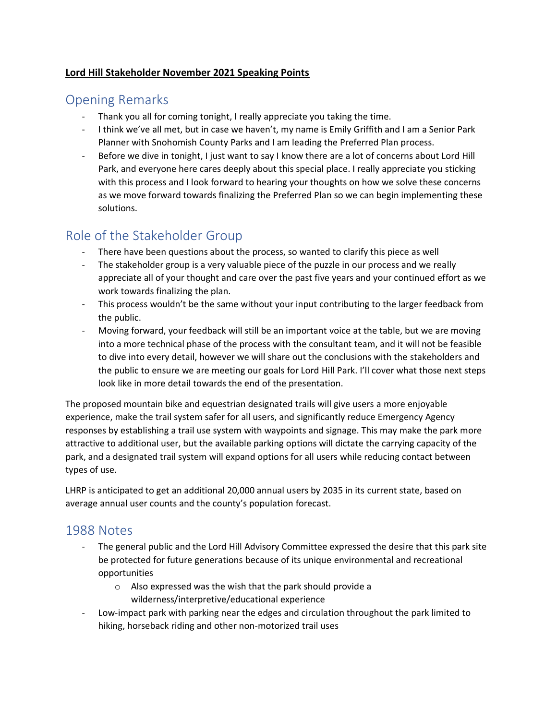#### **Lord Hill Stakeholder November 2021 Speaking Points**

## Opening Remarks

- Thank you all for coming tonight, I really appreciate you taking the time.
- I think we've all met, but in case we haven't, my name is Emily Griffith and I am a Senior Park Planner with Snohomish County Parks and I am leading the Preferred Plan process.
- Before we dive in tonight, I just want to say I know there are a lot of concerns about Lord Hill Park, and everyone here cares deeply about this special place. I really appreciate you sticking with this process and I look forward to hearing your thoughts on how we solve these concerns as we move forward towards finalizing the Preferred Plan so we can begin implementing these solutions.

# Role of the Stakeholder Group

- There have been questions about the process, so wanted to clarify this piece as well
- The stakeholder group is a very valuable piece of the puzzle in our process and we really appreciate all of your thought and care over the past five years and your continued effort as we work towards finalizing the plan.
- This process wouldn't be the same without your input contributing to the larger feedback from the public.
- Moving forward, your feedback will still be an important voice at the table, but we are moving into a more technical phase of the process with the consultant team, and it will not be feasible to dive into every detail, however we will share out the conclusions with the stakeholders and the public to ensure we are meeting our goals for Lord Hill Park. I'll cover what those next steps look like in more detail towards the end of the presentation.

The proposed mountain bike and equestrian designated trails will give users a more enjoyable experience, make the trail system safer for all users, and significantly reduce Emergency Agency responses by establishing a trail use system with waypoints and signage. This may make the park more attractive to additional user, but the available parking options will dictate the carrying capacity of the park, and a designated trail system will expand options for all users while reducing contact between types of use.

LHRP is anticipated to get an additional 20,000 annual users by 2035 in its current state, based on average annual user counts and the county's population forecast.

# 1988 Notes

- The general public and the Lord Hill Advisory Committee expressed the desire that this park site be protected for future generations because of its unique environmental and recreational opportunities
	- o Also expressed was the wish that the park should provide a wilderness/interpretive/educational experience
- Low-impact park with parking near the edges and circulation throughout the park limited to hiking, horseback riding and other non-motorized trail uses